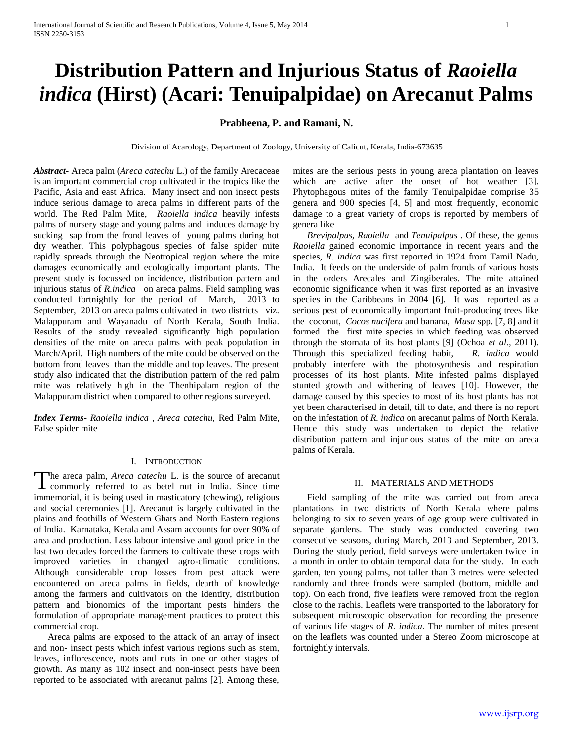# **Distribution Pattern and Injurious Status of** *Raoiella indica* **(Hirst) (Acari: Tenuipalpidae) on Arecanut Palms**

# **Prabheena, P. and Ramani, N.**

Division of Acarology, Department of Zoology, University of Calicut, Kerala, India-673635

*Abstract***-** Areca palm (*Areca catechu* L.) of the family Arecaceae is an important commercial crop cultivated in the tropics like the Pacific, Asia and east Africa. Many insect and non insect pests induce serious damage to areca palms in different parts of the world. The Red Palm Mite, *Raoiella indica* heavily infests palms of nursery stage and young palms and induces damage by sucking sap from the frond leaves of young palms during hot dry weather. This polyphagous species of false spider mite rapidly spreads through the Neotropical region where the mite damages economically and ecologically important plants. The present study is focussed on incidence, distribution pattern and injurious status of *R.indica* on areca palms. Field sampling was conducted fortnightly for the period of March, 2013 to September, 2013 on areca palms cultivated in two districts viz. Malappuram and Wayanadu of North Kerala, South India. Results of the study revealed significantly high population densities of the mite on areca palms with peak population in March/April. High numbers of the mite could be observed on the bottom frond leaves than the middle and top leaves. The present study also indicated that the distribution pattern of the red palm mite was relatively high in the Thenhipalam region of the Malappuram district when compared to other regions surveyed.

*Index Terms*- *Raoiella indica , Areca catechu,* Red Palm Mite, False spider mite

# I. INTRODUCTION

he areca palm, *Areca catechu* L. is the source of arecanut The areca palm, *Areca catechu* L. is the source of arecanut commonly referred to as betel nut in India. Since time immemorial, it is being used in masticatory (chewing), religious and social ceremonies [1]. Arecanut is largely cultivated in the plains and foothills of Western Ghats and North Eastern regions of India. Karnataka, Kerala and Assam accounts for over 90% of area and production. Less labour intensive and good price in the last two decades forced the farmers to cultivate these crops with improved varieties in changed agro-climatic conditions. Although considerable crop losses from pest attack were encountered on areca palms in fields, dearth of knowledge among the farmers and cultivators on the identity, distribution pattern and bionomics of the important pests hinders the formulation of appropriate management practices to protect this commercial crop.

 Areca palms are exposed to the attack of an array of insect and non- insect pests which infest various regions such as stem, leaves, inflorescence, roots and nuts in one or other stages of growth. As many as 102 insect and non-insect pests have been reported to be associated with arecanut palms [2]. Among these, mites are the serious pests in young areca plantation on leaves which are active after the onset of hot weather [3]. Phytophagous mites of the family Tenuipalpidae comprise 35 genera and 900 species [4, 5] and most frequently, economic damage to a great variety of crops is reported by members of genera like

 *Brevipalpus, Raoiella* and *Tenuipalpus* . Of these, the genus *Raoiella* gained economic importance in recent years and the species, *R. indica* was first reported in 1924 from Tamil Nadu, India. It feeds on the underside of palm fronds of various hosts in the orders Arecales and Zingiberales. The mite attained economic significance when it was first reported as an invasive species in the Caribbeans in 2004 [6]. It was reported as a serious pest of economically important fruit-producing trees like the coconut, *Cocos nucifera* and banana, *Musa* spp. [7, 8] and it formed the first mite species in which feeding was observed through the stomata of its host plants [9] (Ochoa *et al.,* 2011). Through this specialized feeding habit, *R. indica* would probably interfere with the photosynthesis and respiration processes of its host plants. Mite infested palms displayed stunted growth and withering of leaves [10]. However, the damage caused by this species to most of its host plants has not yet been characterised in detail, till to date, and there is no report on the infestation of *R. indica* on arecanut palms of North Kerala. Hence this study was undertaken to depict the relative distribution pattern and injurious status of the mite on areca palms of Kerala.

### II. MATERIALS AND METHODS

 Field sampling of the mite was carried out from areca plantations in two districts of North Kerala where palms belonging to six to seven years of age group were cultivated in separate gardens. The study was conducted covering two consecutive seasons, during March, 2013 and September, 2013. During the study period, field surveys were undertaken twice in a month in order to obtain temporal data for the study. In each garden, ten young palms, not taller than 3 metres were selected randomly and three fronds were sampled (bottom, middle and top). On each frond, five leaflets were removed from the region close to the rachis. Leaflets were transported to the laboratory for subsequent microscopic observation for recording the presence of various life stages of *R. indica*. The number of mites present on the leaflets was counted under a Stereo Zoom microscope at fortnightly intervals.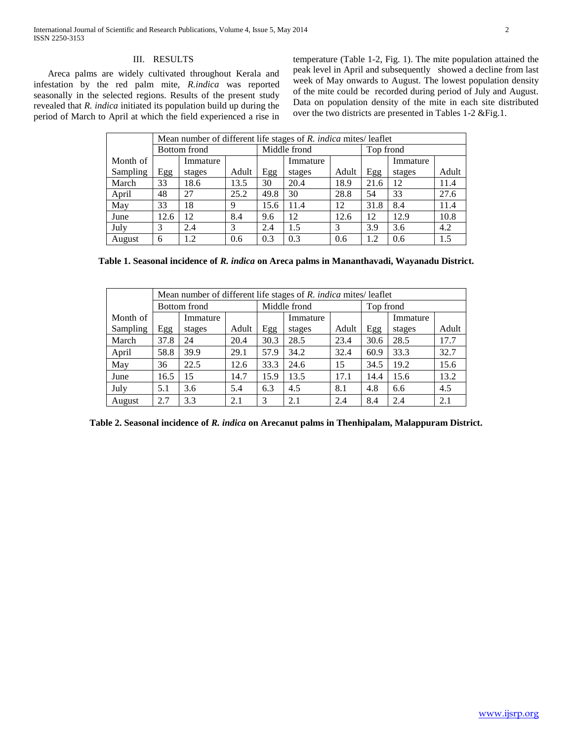# III. RESULTS

 Areca palms are widely cultivated throughout Kerala and infestation by the red palm mite, *R.indica* was reported seasonally in the selected regions. Results of the present study revealed that *R. indica* initiated its population build up during the period of March to April at which the field experienced a rise in

temperature (Table 1-2, Fig. 1). The mite population attained the peak level in April and subsequently showed a decline from last week of May onwards to August. The lowest population density of the mite could be recorded during period of July and August. Data on population density of the mite in each site distributed over the two districts are presented in Tables 1-2 &Fig.1.

|          | Mean number of different life stages of R. indica mites/ leaflet |          |       |              |          |       |           |          |       |  |  |
|----------|------------------------------------------------------------------|----------|-------|--------------|----------|-------|-----------|----------|-------|--|--|
|          | Bottom frond                                                     |          |       | Middle frond |          |       | Top frond |          |       |  |  |
| Month of |                                                                  | Immature |       |              | Immature |       |           | Immature |       |  |  |
| Sampling | Egg                                                              | stages   | Adult | Egg          | stages   | Adult | Egg       | stages   | Adult |  |  |
| March    | 33                                                               | 18.6     | 13.5  | 30           | 20.4     | 18.9  | 21.6      | 12       | 11.4  |  |  |
| April    | 48                                                               | 27       | 25.2  | 49.8         | 30       | 28.8  | 54        | 33       | 27.6  |  |  |
| May      | 33                                                               | 18       | 9     | 15.6         | 11.4     | 12    | 31.8      | 8.4      | 11.4  |  |  |
| June     | 12.6                                                             | 12       | 8.4   | 9.6          | 12       | 12.6  | 12        | 12.9     | 10.8  |  |  |
| July     | 3                                                                | 2.4      | 3     | 2.4          | 1.5      | 3     | 3.9       | 3.6      | 4.2   |  |  |
| August   | 6                                                                | 1.2      | 0.6   | 0.3          | 0.3      | 0.6   | 1.2       | 0.6      | 1.5   |  |  |

**Table 1. Seasonal incidence of** *R. indica* **on Areca palms in Mananthavadi, Wayanadu District.**

|          | Mean number of different life stages of R. indica mites/ leaflet |          |       |              |          |       |           |          |       |  |  |
|----------|------------------------------------------------------------------|----------|-------|--------------|----------|-------|-----------|----------|-------|--|--|
|          | <b>Bottom</b> frond                                              |          |       | Middle frond |          |       | Top frond |          |       |  |  |
| Month of |                                                                  | Immature |       |              | Immature |       |           | Immature |       |  |  |
| Sampling | Egg                                                              | stages   | Adult | Egg          | stages   | Adult | Egg       | stages   | Adult |  |  |
| March    | 37.8                                                             | 24       | 20.4  | 30.3         | 28.5     | 23.4  | 30.6      | 28.5     | 17.7  |  |  |
| April    | 58.8                                                             | 39.9     | 29.1  | 57.9         | 34.2     | 32.4  | 60.9      | 33.3     | 32.7  |  |  |
| May      | 36                                                               | 22.5     | 12.6  | 33.3         | 24.6     | 15    | 34.5      | 19.2     | 15.6  |  |  |
| June     | 16.5                                                             | 15       | 14.7  | 15.9         | 13.5     | 17.1  | 14.4      | 15.6     | 13.2  |  |  |
| July     | 5.1                                                              | 3.6      | 5.4   | 6.3          | 4.5      | 8.1   | 4.8       | 6.6      | 4.5   |  |  |
| August   | 2.7                                                              | 3.3      | 2.1   | 3            | 2.1      | 2.4   | 8.4       | 2.4      | 2.1   |  |  |

**Table 2. Seasonal incidence of** *R. indica* **on Arecanut palms in Thenhipalam, Malappuram District.**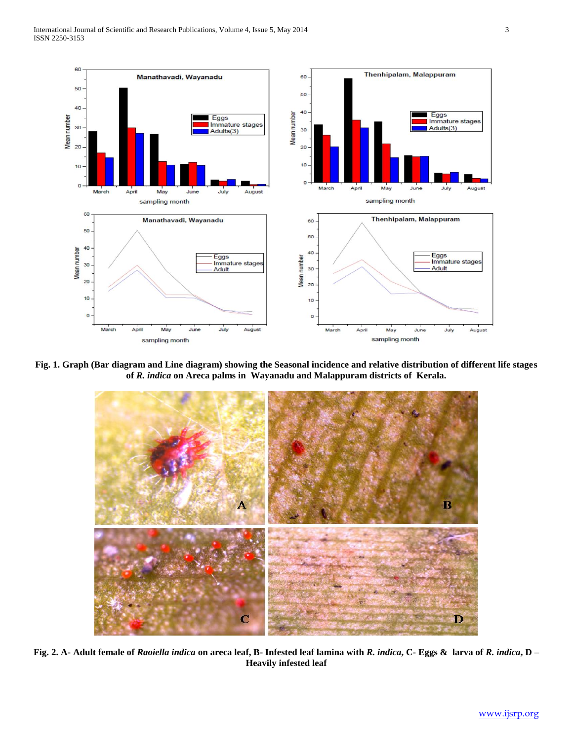

**Fig. 1. Graph (Bar diagram and Line diagram) showing the Seasonal incidence and relative distribution of different life stages of** *R. indica* **on Areca palms in Wayanadu and Malappuram districts of Kerala.**



**Fig. 2. A- Adult female of** *Raoiella indica* **on areca leaf, B- Infested leaf lamina with** *R. indica***, C- Eggs & larva of** *R. indica***, D – Heavily infested leaf**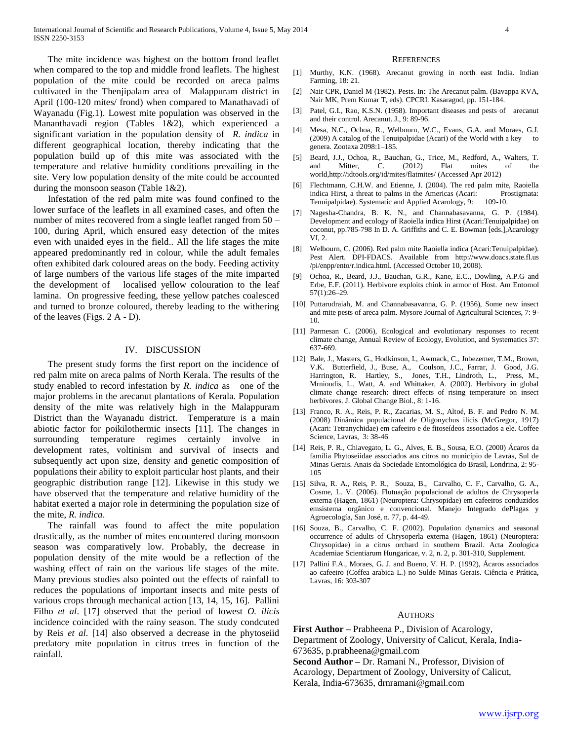The mite incidence was highest on the bottom frond leaflet when compared to the top and middle frond leaflets. The highest population of the mite could be recorded on areca palms cultivated in the Thenjipalam area of Malappuram district in April (100-120 mites/ frond) when compared to Manathavadi of Wayanadu (Fig.1). Lowest mite population was observed in the Mananthavadi region (Tables 1&2), which experienced a significant variation in the population density of *R. indica* in different geographical location, thereby indicating that the population build up of this mite was associated with the temperature and relative humidity conditions prevailing in the site. Very low population density of the mite could be accounted during the monsoon season (Table 1&2).

 Infestation of the red palm mite was found confined to the lower surface of the leaflets in all examined cases, and often the number of mites recovered from a single leaflet ranged from 50 – 100, during April, which ensured easy detection of the mites even with unaided eyes in the field.. All the life stages the mite appeared predominantly red in colour, while the adult females often exhibited dark coloured areas on the body. Feeding activity of large numbers of the various life stages of the mite imparted the development of localised yellow colouration to the leaf lamina. On progressive feeding, these yellow patches coalesced and turned to bronze coloured, thereby leading to the withering of the leaves (Figs. 2 A - D).

### IV. DISCUSSION

 The present study forms the first report on the incidence of red palm mite on areca palms of North Kerala. The results of the study enabled to record infestation by *R. indica* as one of the major problems in the arecanut plantations of Kerala. Population density of the mite was relatively high in the Malappuram District than the Wayanadu district. Temperature is a main abiotic factor for poikilothermic insects [11]. The changes in surrounding temperature regimes certainly involve in development rates, voltinism and survival of insects and subsequently act upon size, density and genetic composition of populations their ability to exploit particular host plants, and their geographic distribution range [12]. Likewise in this study we have observed that the temperature and relative humidity of the habitat exerted a major role in determining the population size of the mite, *R. indica*.

 The rainfall was found to affect the mite population drastically, as the number of mites encountered during monsoon season was comparatively low. Probably, the decrease in population density of the mite would be a reflection of the washing effect of rain on the various life stages of the mite. Many previous studies also pointed out the effects of rainfall to reduces the populations of important insects and mite pests of various crops through mechanical action [13, 14, 15, 16]. Pallini Filho *et al*. [17] observed that the period of lowest *O. ilicis*  incidence coincided with the rainy season. The study condcuted by Reis *et al*. [14] also observed a decrease in the phytoseiid predatory mite population in citrus trees in function of the rainfall.

#### **REFERENCES**

- [1] Murthy, K.N. (1968). Arecanut growing in north east India. Indian Farming, 18: 21.
- [2] Nair CPR, Daniel M (1982). Pests. In: The Arecanut palm. (Bavappa KVA, Nair MK, Prem Kumar T, eds). CPCRI. Kasaragod, pp. 151-184.
- [3] Patel, G.I., Rao, K.S.N. (1958). Important diseases and pests of arecanut and their control. Arecanut. J., 9: 89-96.
- [4] Mesa, N.C., Ochoa, R., Welbourn, W.C., Evans, G.A. and Moraes, G.J. (2009) A catalog of the Tenuipalpidae (Acari) of the World with a key to genera. Zootaxa 2098:1–185.
- [5] Beard, J.J., Ochoa, R., Bauchan, G., Trice, M., Redford, A., Walters, T. and Mitter, C. (2012) Flat mites of the world,http://idtools.org/id/mites/flatmites/ (Accessed Apr 2012)
- [6] Flechtmann, C.H.W. and Etienne, J. (2004). The red palm mite, Raoiella indica Hirst, a threat to palms in the Americas (Acari: Prostigmata: Tenuipalpidae). Systematic and Applied Acarology, 9: 109-10.
- [7] Nagesha-Chandra, B. K. N., and Channabasavanna, G. P. (1984). Development and ecology of Raoiella indica Hirst (Acari:Tenuipalpidae) on coconut, pp.785-798 In D. A. Griffiths and C. E. Bowman [eds.],Acarology VI, 2.
- [8] Welbourn, C. (2006). Red palm mite Raoiella indica (Acari:Tenuipalpidae). Pest Alert. DPI-FDACS. Available from http://www.doacs.state.fl.us /pi/enpp/ento/r.indica.html. (Accessed October 10, 2008).
- [9] Ochoa, R., Beard, J.J., Bauchan, G.R., Kane, E.C., Dowling, A.P.G and Erbe, E.F. (2011). Herbivore exploits chink in armor of Host. Am Entomol 57(1):26–29.
- [10] Puttarudraiah, M. and Channabasavanna, G. P. (1956), Some new insect and mite pests of areca palm. Mysore Journal of Agricultural Sciences, 7: 9- 10.
- [11] Parmesan C. (2006), Ecological and evolutionary responses to recent climate change, Annual Review of Ecology, Evolution, and Systematics 37: 637-669.
- [12] Bale, J., Masters, G., Hodkinson, I., Awmack, C., Jnbezemer, T.M., Brown, V.K. Butterfield, J., Buse, A., Coulson, J.C., Farrar, J. Good, J.G. Harrington, R. Hartley, S., Jones, T.H., Lindroth, L., Press, M., Mrnioudis, I.., Watt, A. and Whittaker, A. (2002). Herbivory in global climate change research: direct effects of rising temperature on insect herbivores. J. Global Change Biol., 8: 1-16.
- [13] Franco, R. A., Reis, P. R., Zacarias, M. S., Altoé, B. F. and Pedro N. M. (2008) Dinâmica populacional de Oligonychus ilicis (McGregor, 1917) (Acari: Tetranychidae) em cafeeiro e de fitoseídeos associados a ele. Coffee Science, Lavras, 3: 38-46
- [14] Reis, P. R., Chiavegato, L. G., Alves, E. B., Sousa, E.O. (2000) Ácaros da família Phytoseiidae associados aos citros no município de Lavras, Sul de Minas Gerais. Anais da Sociedade Entomológica do Brasil, Londrina, 2: 95- 105
- [15] Silva, R. A., Reis, P. R., Souza, B., Carvalho, C. F., Carvalho, G. A., Cosme, L. V. (2006). Flutuação populacional de adultos de Chrysoperla externa (Hagen, 1861) (Neuroptera: Chrysopidae) em cafeeiros conduzidos emsistema orgânico e convencional. Manejo Integrado dePlagas y Agroecología, San José, n. 77, p. 44-49.
- [16] Souza, B., Carvalho, C. F. (2002). Population dynamics and seasonal occurrence of adults of Chrysoperla externa (Hagen, 1861) (Neuroptera: Chrysopidae) in a citrus orchard in southern Brazil. Acta Zoologica Academiae Scientiarum Hungaricae, v. 2, n. 2, p. 301-310, Supplement.
- [17] Pallini F.A., Moraes, G. J. and Bueno, V. H. P. (1992), Ácaros associados ao cafeeiro (Coffea arabica L.) no Sulde Minas Gerais. Ciência e Prática, Lavras, 16: 303-307

#### AUTHORS

**First Author –** Prabheena P., Division of Acarology, Department of Zoology, University of Calicut, Kerala, India-673635, p.prabheena@gmail.com **Second Author –** Dr. Ramani N., Professor, Division of Acarology, Department of Zoology, University of Calicut,

Kerala, India-673635, drnramani@gmail.com